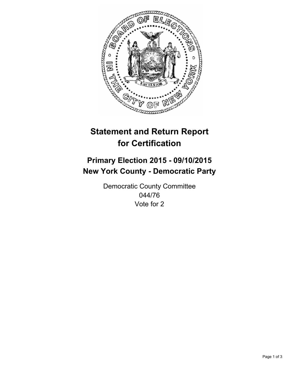

# **Statement and Return Report for Certification**

## **Primary Election 2015 - 09/10/2015 New York County - Democratic Party**

Democratic County Committee 044/76 Vote for 2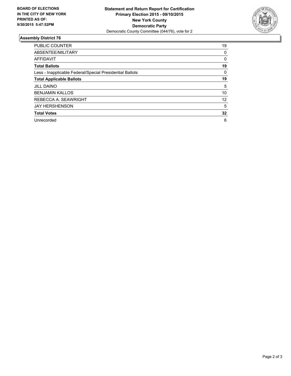

#### **Assembly District 76**

| <b>PUBLIC COUNTER</b>                                    | 19 |
|----------------------------------------------------------|----|
| ABSENTEE/MILITARY                                        | 0  |
| <b>AFFIDAVIT</b>                                         | 0  |
| <b>Total Ballots</b>                                     | 19 |
| Less - Inapplicable Federal/Special Presidential Ballots | 0  |
| <b>Total Applicable Ballots</b>                          | 19 |
| <b>JILL DAINO</b>                                        | 5  |
| <b>BENJAMIN KALLOS</b>                                   | 10 |
| REBECCA A. SEAWRIGHT                                     | 12 |
| <b>JAY HERSHENSON</b>                                    | 5  |
| <b>Total Votes</b>                                       | 32 |
| Unrecorded                                               | 6  |